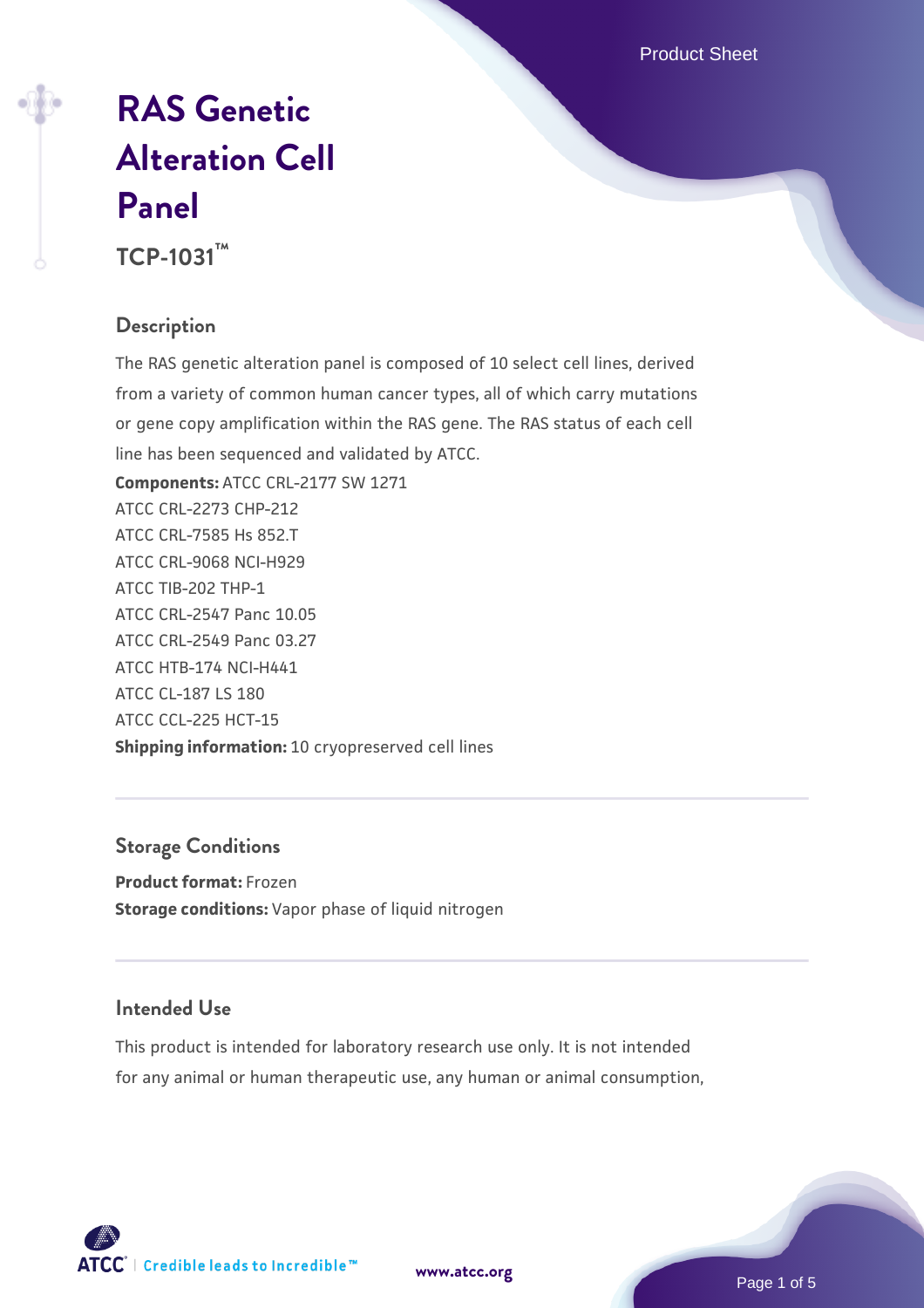Product Sheet

# **[RAS Genetic](https://www.atcc.org/products/tcp-1031) [Alteration Cell](https://www.atcc.org/products/tcp-1031) [Panel](https://www.atcc.org/products/tcp-1031)**

**TCP-1031™**

#### **Description**

The RAS genetic alteration panel is composed of 10 select cell lines, derived from a variety of common human cancer types, all of which carry mutations or gene copy amplification within the RAS gene. The RAS status of each cell line has been sequenced and validated by ATCC.

**Components:** ATCC CRL-2177 SW 1271 ATCC CRL-2273 CHP-212 ATCC CRL-7585 Hs 852.T ATCC CRL-9068 NCI-H929 ATCC TIB-202 THP-1 ATCC CRL-2547 Panc 10.05 ATCC CRL-2549 Panc 03.27 ATCC HTB-174 NCI-H441 ATCC CL-187 LS 180 ATCC CCL-225 HCT-15 **Shipping information:** 10 cryopreserved cell lines

#### **Storage Conditions**

**Product format:** Frozen **Storage conditions:** Vapor phase of liquid nitrogen

#### **Intended Use**

This product is intended for laboratory research use only. It is not intended for any animal or human therapeutic use, any human or animal consumption,



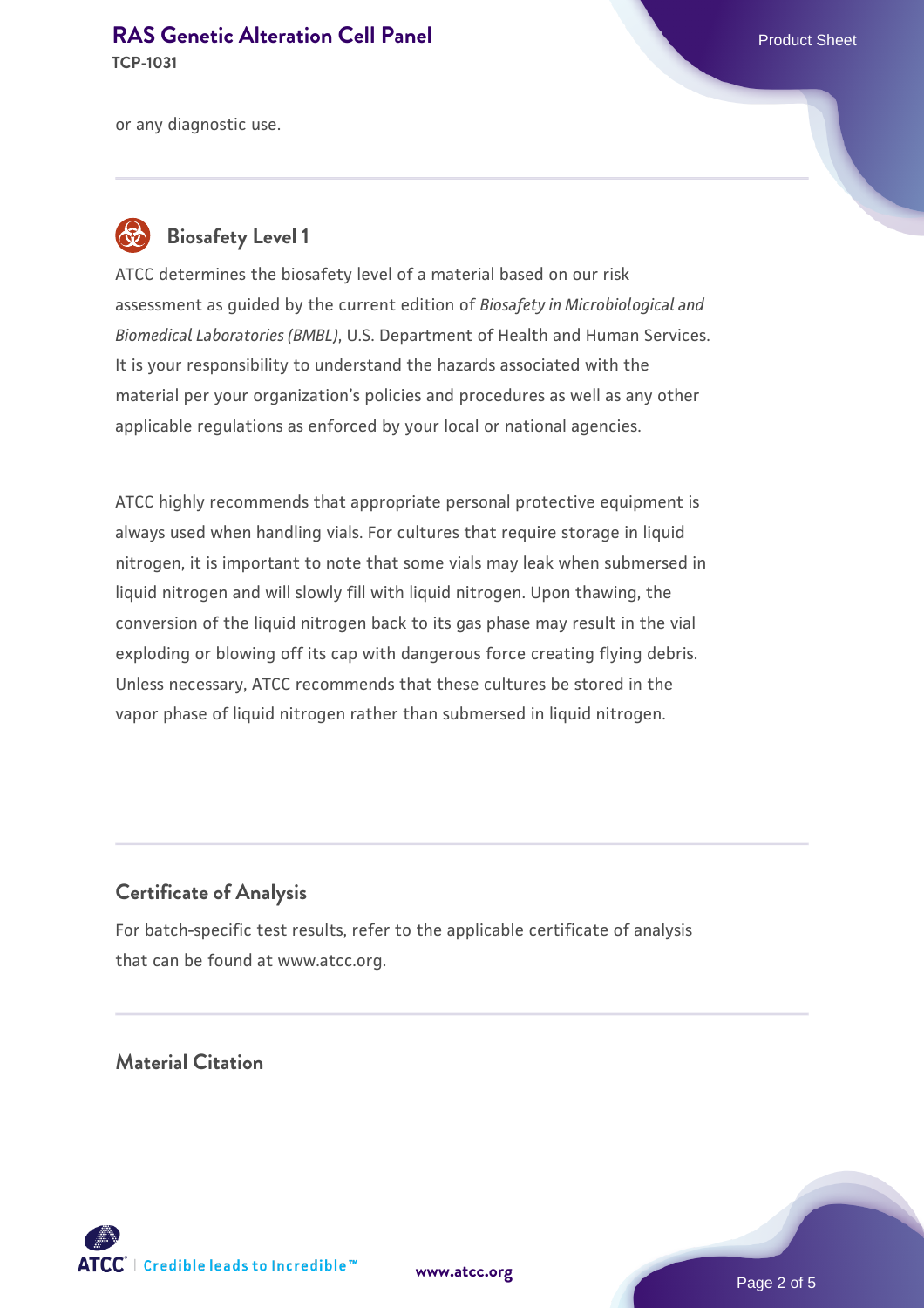**TCP-1031**

or any diagnostic use.

### **Biosafety Level 1**

ATCC determines the biosafety level of a material based on our risk assessment as guided by the current edition of *Biosafety in Microbiological and Biomedical Laboratories (BMBL)*, U.S. Department of Health and Human Services. It is your responsibility to understand the hazards associated with the material per your organization's policies and procedures as well as any other applicable regulations as enforced by your local or national agencies.

ATCC highly recommends that appropriate personal protective equipment is always used when handling vials. For cultures that require storage in liquid nitrogen, it is important to note that some vials may leak when submersed in liquid nitrogen and will slowly fill with liquid nitrogen. Upon thawing, the conversion of the liquid nitrogen back to its gas phase may result in the vial exploding or blowing off its cap with dangerous force creating flying debris. Unless necessary, ATCC recommends that these cultures be stored in the vapor phase of liquid nitrogen rather than submersed in liquid nitrogen.

#### **Certificate of Analysis**

For batch-specific test results, refer to the applicable certificate of analysis that can be found at www.atcc.org.

#### **Material Citation**



**[www.atcc.org](http://www.atcc.org)**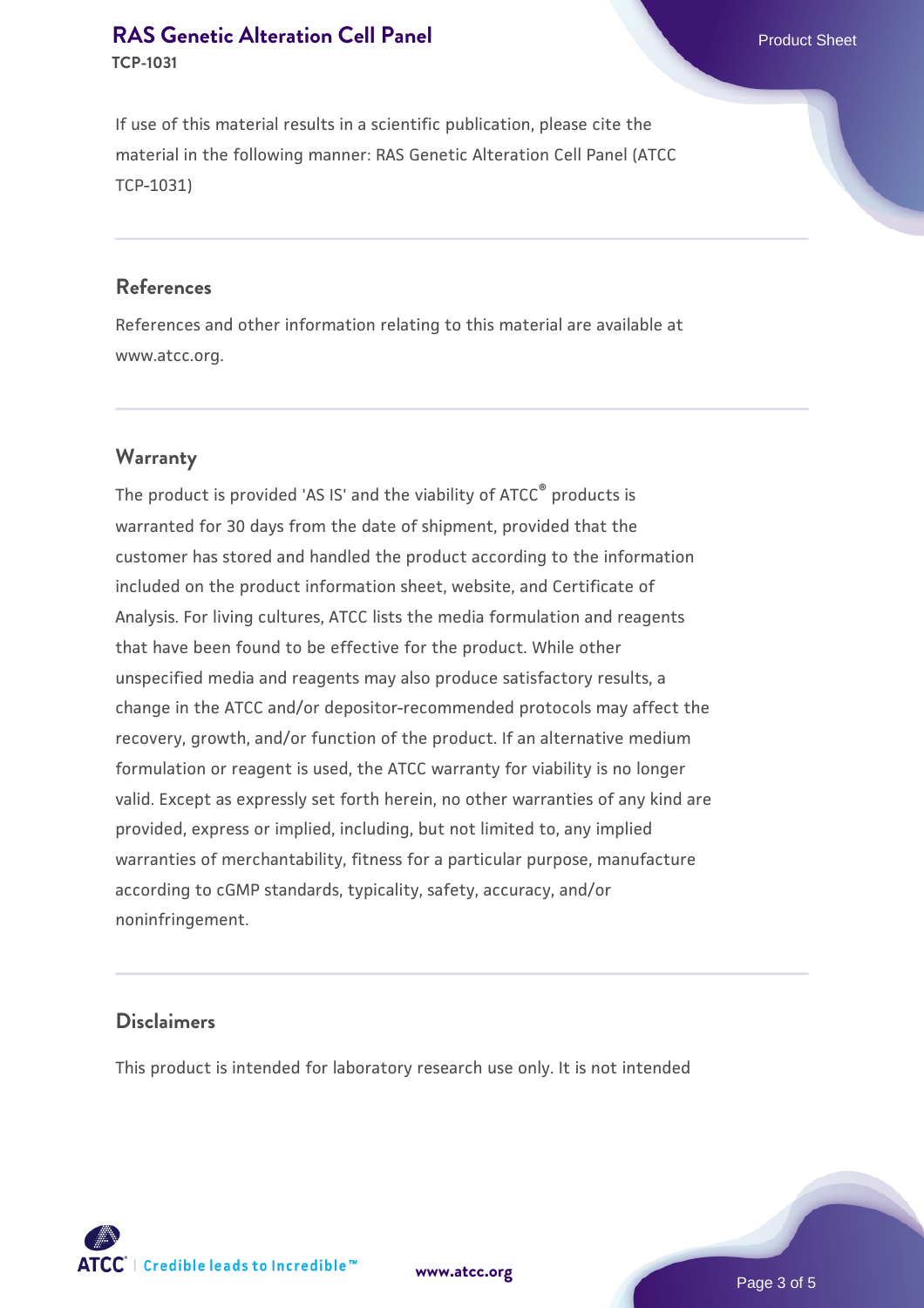**TCP-1031**

If use of this material results in a scientific publication, please cite the material in the following manner: RAS Genetic Alteration Cell Panel (ATCC TCP-1031)

#### **References**

References and other information relating to this material are available at www.atcc.org.

#### **Warranty**

The product is provided 'AS IS' and the viability of ATCC<sup>®</sup> products is warranted for 30 days from the date of shipment, provided that the customer has stored and handled the product according to the information included on the product information sheet, website, and Certificate of Analysis. For living cultures, ATCC lists the media formulation and reagents that have been found to be effective for the product. While other unspecified media and reagents may also produce satisfactory results, a change in the ATCC and/or depositor-recommended protocols may affect the recovery, growth, and/or function of the product. If an alternative medium formulation or reagent is used, the ATCC warranty for viability is no longer valid. Except as expressly set forth herein, no other warranties of any kind are provided, express or implied, including, but not limited to, any implied warranties of merchantability, fitness for a particular purpose, manufacture according to cGMP standards, typicality, safety, accuracy, and/or noninfringement.

#### **Disclaimers**

This product is intended for laboratory research use only. It is not intended

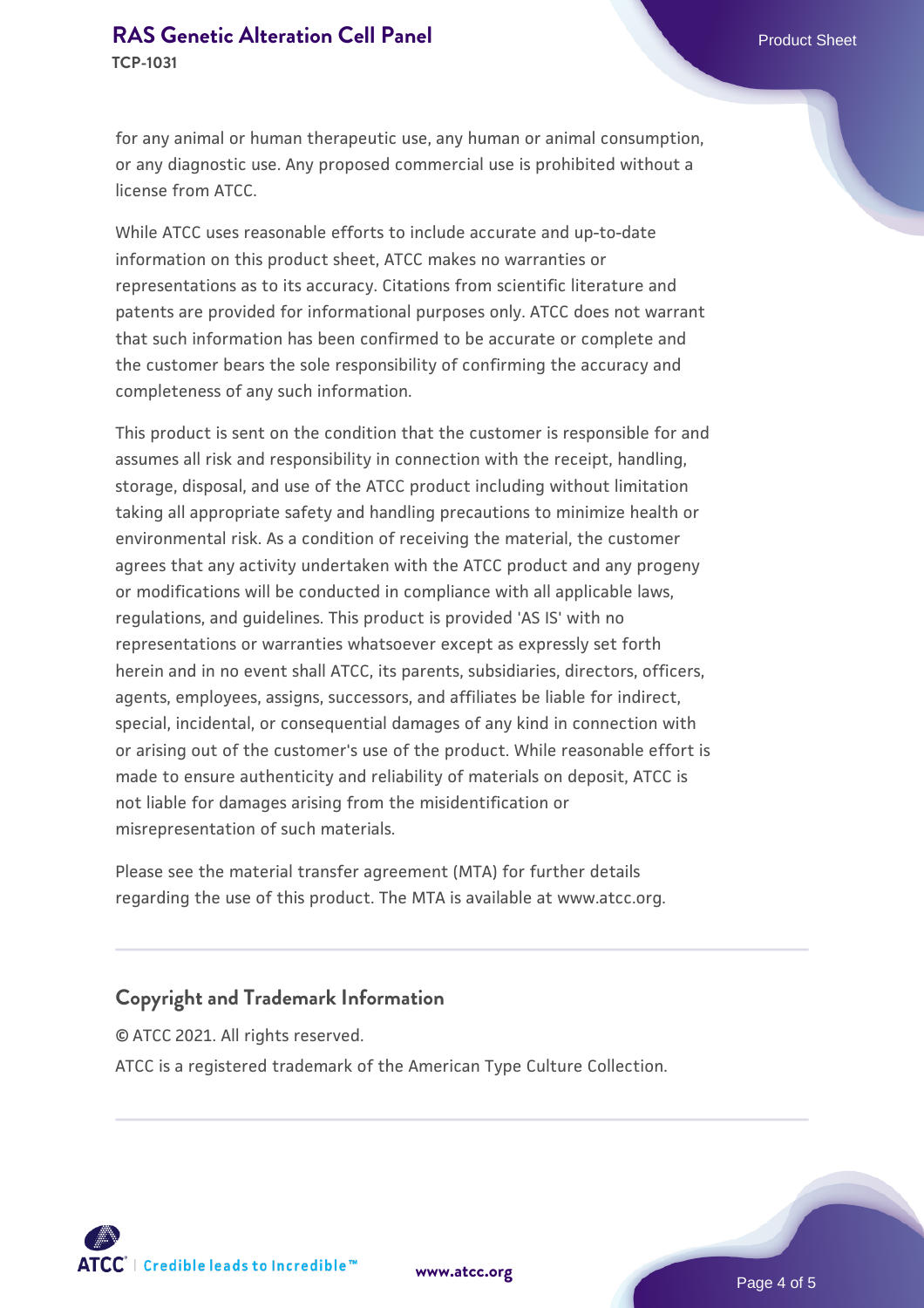**TCP-1031**

for any animal or human therapeutic use, any human or animal consumption, or any diagnostic use. Any proposed commercial use is prohibited without a license from ATCC.

While ATCC uses reasonable efforts to include accurate and up-to-date information on this product sheet, ATCC makes no warranties or representations as to its accuracy. Citations from scientific literature and patents are provided for informational purposes only. ATCC does not warrant that such information has been confirmed to be accurate or complete and the customer bears the sole responsibility of confirming the accuracy and completeness of any such information.

This product is sent on the condition that the customer is responsible for and assumes all risk and responsibility in connection with the receipt, handling, storage, disposal, and use of the ATCC product including without limitation taking all appropriate safety and handling precautions to minimize health or environmental risk. As a condition of receiving the material, the customer agrees that any activity undertaken with the ATCC product and any progeny or modifications will be conducted in compliance with all applicable laws, regulations, and guidelines. This product is provided 'AS IS' with no representations or warranties whatsoever except as expressly set forth herein and in no event shall ATCC, its parents, subsidiaries, directors, officers, agents, employees, assigns, successors, and affiliates be liable for indirect, special, incidental, or consequential damages of any kind in connection with or arising out of the customer's use of the product. While reasonable effort is made to ensure authenticity and reliability of materials on deposit, ATCC is not liable for damages arising from the misidentification or misrepresentation of such materials.

Please see the material transfer agreement (MTA) for further details regarding the use of this product. The MTA is available at www.atcc.org.

#### **Copyright and Trademark Information**

© ATCC 2021. All rights reserved. ATCC is a registered trademark of the American Type Culture Collection.



**[www.atcc.org](http://www.atcc.org)**

Page 4 of 5